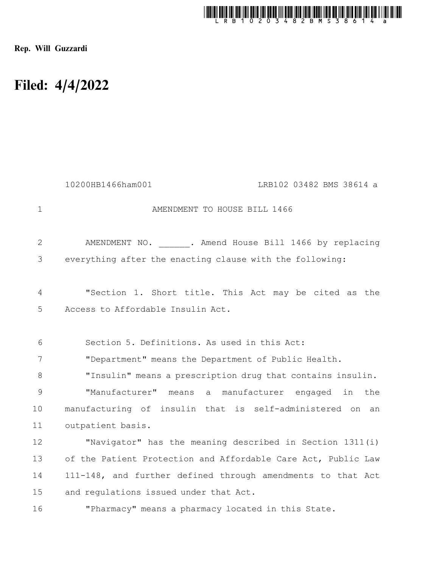

Rep. Will Guzzardi

## Filed: 4/4/2022

|                | 10200HB1466ham001<br>LRB102 03482 BMS 38614 a                 |
|----------------|---------------------------------------------------------------|
| $\mathbf 1$    | AMENDMENT TO HOUSE BILL 1466                                  |
| $\overline{2}$ | AMENDMENT NO. . Amend House Bill 1466 by replacing            |
| 3              | everything after the enacting clause with the following:      |
| $\overline{4}$ | "Section 1. Short title. This Act may be cited as the         |
| 5              | Access to Affordable Insulin Act.                             |
| 6              | Section 5. Definitions. As used in this Act:                  |
| 7              | "Department" means the Department of Public Health.           |
| $8\,$          | "Insulin" means a prescription drug that contains insulin.    |
| $\mathsf 9$    | "Manufacturer" means a manufacturer engaged in the            |
| 10             | manufacturing of insulin that is self-administered on<br>an   |
| 11             | outpatient basis.                                             |
| 12             | "Navigator" has the meaning described in Section 1311(i)      |
| 13             | of the Patient Protection and Affordable Care Act, Public Law |
| 14             | 111-148, and further defined through amendments to that Act   |
| 15             | and regulations issued under that Act.                        |
| 16             | "Pharmacy" means a pharmacy located in this State.            |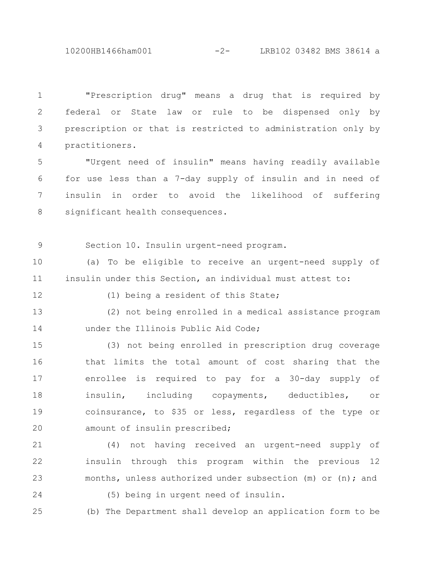10200HB1466ham001 -2- LRB102 03482 BMS 38614 a

"Prescription drug" means a drug that is required by federal or State law or rule to be dispensed only by prescription or that is restricted to administration only by practitioners. 1 2 3 4

"Urgent need of insulin" means having readily available for use less than a 7-day supply of insulin and in need of insulin in order to avoid the likelihood of suffering significant health consequences. 5 6 7 8

9

Section 10. Insulin urgent-need program.

(a) To be eligible to receive an urgent-need supply of insulin under this Section, an individual must attest to: 10 11

12

(1) being a resident of this State;

(2) not being enrolled in a medical assistance program under the Illinois Public Aid Code; 13 14

(3) not being enrolled in prescription drug coverage that limits the total amount of cost sharing that the enrollee is required to pay for a 30-day supply of insulin, including copayments, deductibles, or coinsurance, to \$35 or less, regardless of the type or amount of insulin prescribed; 15 16 17 18 19  $20$ 

(4) not having received an urgent-need supply of insulin through this program within the previous 12 months, unless authorized under subsection (m) or (n); and 21 22 23

24

(5) being in urgent need of insulin.

25

(b) The Department shall develop an application form to be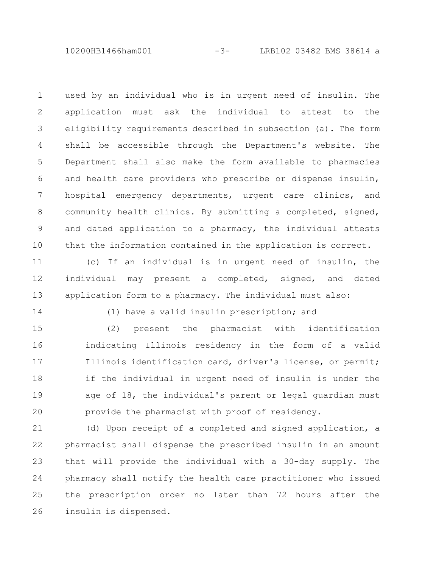10200HB1466ham001 -3- LRB102 03482 BMS 38614 a

used by an individual who is in urgent need of insulin. The application must ask the individual to attest to the eligibility requirements described in subsection (a). The form shall be accessible through the Department's website. The Department shall also make the form available to pharmacies and health care providers who prescribe or dispense insulin, hospital emergency departments, urgent care clinics, and community health clinics. By submitting a completed, signed, and dated application to a pharmacy, the individual attests that the information contained in the application is correct. 1 2 3 4 5 6 7 8 9 10

(c) If an individual is in urgent need of insulin, the individual may present a completed, signed, and dated application form to a pharmacy. The individual must also: 11 12 13

14

(1) have a valid insulin prescription; and

(2) present the pharmacist with identification indicating Illinois residency in the form of a valid Illinois identification card, driver's license, or permit; if the individual in urgent need of insulin is under the age of 18, the individual's parent or legal guardian must provide the pharmacist with proof of residency. 15 16 17 18 19 20

(d) Upon receipt of a completed and signed application, a pharmacist shall dispense the prescribed insulin in an amount that will provide the individual with a 30-day supply. The pharmacy shall notify the health care practitioner who issued the prescription order no later than 72 hours after the insulin is dispensed. 21 22 23 24 25 26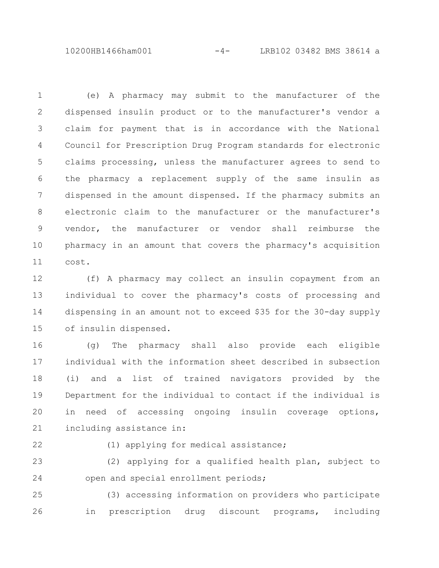10200HB1466ham001 -4- LRB102 03482 BMS 38614 a

(e) A pharmacy may submit to the manufacturer of the dispensed insulin product or to the manufacturer's vendor a claim for payment that is in accordance with the National Council for Prescription Drug Program standards for electronic claims processing, unless the manufacturer agrees to send to the pharmacy a replacement supply of the same insulin as dispensed in the amount dispensed. If the pharmacy submits an electronic claim to the manufacturer or the manufacturer's vendor, the manufacturer or vendor shall reimburse the pharmacy in an amount that covers the pharmacy's acquisition cost. 1 2 3 4 5 6 7 8 9 10 11

(f) A pharmacy may collect an insulin copayment from an individual to cover the pharmacy's costs of processing and dispensing in an amount not to exceed \$35 for the 30-day supply of insulin dispensed. 12 13 14 15

(g) The pharmacy shall also provide each eligible individual with the information sheet described in subsection (i) and a list of trained navigators provided by the Department for the individual to contact if the individual is in need of accessing ongoing insulin coverage options, including assistance in: 16 17 18 19 20 21

22

(1) applying for medical assistance;

(2) applying for a qualified health plan, subject to open and special enrollment periods; 23 24

(3) accessing information on providers who participate in prescription drug discount programs, including 25 26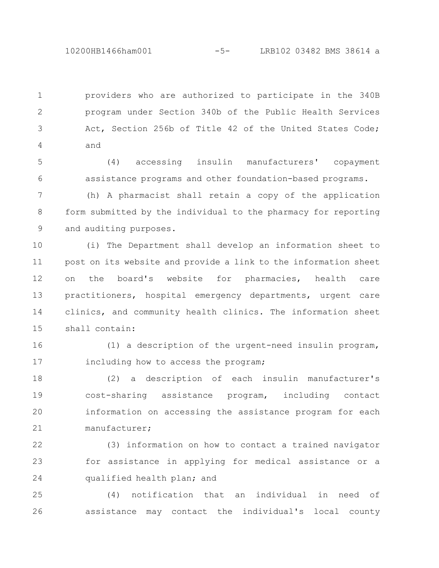10200HB1466ham001 -5- LRB102 03482 BMS 38614 a

providers who are authorized to participate in the 340B program under Section 340b of the Public Health Services Act, Section 256b of Title 42 of the United States Code; and 1 2 3 4

(4) accessing insulin manufacturers' copayment assistance programs and other foundation-based programs. 5 6

(h) A pharmacist shall retain a copy of the application form submitted by the individual to the pharmacy for reporting and auditing purposes. 7 8 9

(i) The Department shall develop an information sheet to post on its website and provide a link to the information sheet on the board's website for pharmacies, health care practitioners, hospital emergency departments, urgent care clinics, and community health clinics. The information sheet shall contain: 10 11 12 13 14 15

(1) a description of the urgent-need insulin program, including how to access the program; 16 17

(2) a description of each insulin manufacturer's cost-sharing assistance program, including contact information on accessing the assistance program for each manufacturer; 18 19 20 21

(3) information on how to contact a trained navigator for assistance in applying for medical assistance or a qualified health plan; and 22 23 24

(4) notification that an individual in need of assistance may contact the individual's local county 25 26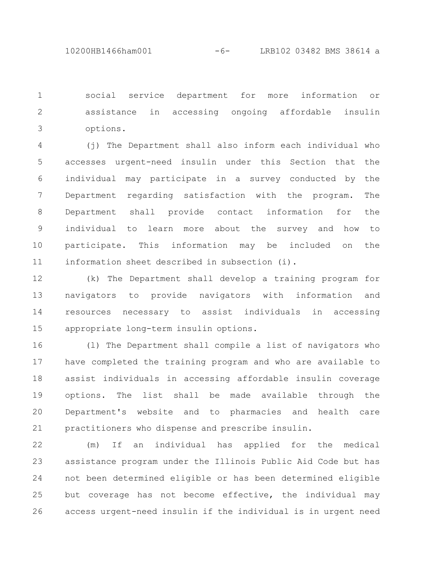social service department for more information or assistance in accessing ongoing affordable insulin options. 1 2 3

(j) The Department shall also inform each individual who accesses urgent-need insulin under this Section that the individual may participate in a survey conducted by the Department regarding satisfaction with the program. The Department shall provide contact information for the individual to learn more about the survey and how to participate. This information may be included on the information sheet described in subsection (i). 4 5 6 7 8 9 10 11

(k) The Department shall develop a training program for navigators to provide navigators with information and resources necessary to assist individuals in accessing appropriate long-term insulin options. 12 13 14 15

(l) The Department shall compile a list of navigators who have completed the training program and who are available to assist individuals in accessing affordable insulin coverage options. The list shall be made available through the Department's website and to pharmacies and health care practitioners who dispense and prescribe insulin. 16 17 18 19 20 21

(m) If an individual has applied for the medical assistance program under the Illinois Public Aid Code but has not been determined eligible or has been determined eligible but coverage has not become effective, the individual may access urgent-need insulin if the individual is in urgent need 22 23 24 25 26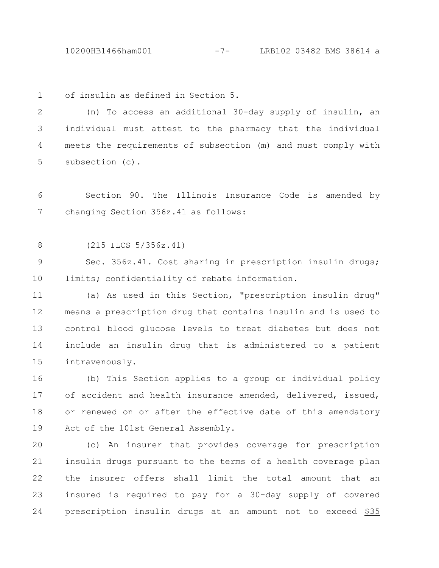10200HB1466ham001 -7- LRB102 03482 BMS 38614 a

of insulin as defined in Section 5. 1

(n) To access an additional 30-day supply of insulin, an individual must attest to the pharmacy that the individual meets the requirements of subsection (m) and must comply with subsection (c). 2 3 4 5

Section 90. The Illinois Insurance Code is amended by changing Section 356z.41 as follows: 6 7

(215 ILCS 5/356z.41) 8

Sec. 356z.41. Cost sharing in prescription insulin drugs; limits; confidentiality of rebate information. 9 10

(a) As used in this Section, "prescription insulin drug" means a prescription drug that contains insulin and is used to control blood glucose levels to treat diabetes but does not include an insulin drug that is administered to a patient intravenously. 11 12 13 14 15

(b) This Section applies to a group or individual policy of accident and health insurance amended, delivered, issued, or renewed on or after the effective date of this amendatory Act of the 101st General Assembly. 16 17 18 19

(c) An insurer that provides coverage for prescription insulin drugs pursuant to the terms of a health coverage plan the insurer offers shall limit the total amount that an insured is required to pay for a 30-day supply of covered prescription insulin drugs at an amount not to exceed \$35 20 21 22 23 24